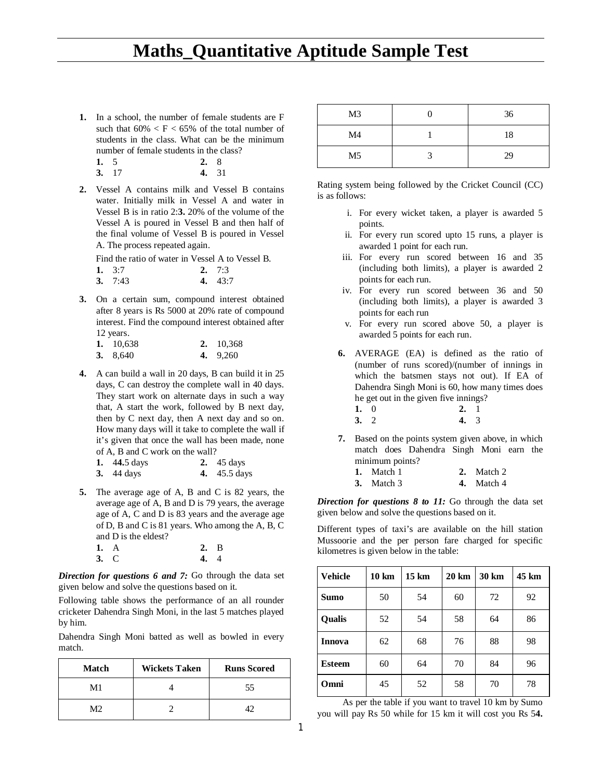**1.** In a school, the number of female students are F such that  $60\% \le F \le 65\%$  of the total number of students in the class. What can be the minimum number of female students in the class?

| 1. $5$ |                | 2.8 |        |
|--------|----------------|-----|--------|
| $\sim$ | $\overline{ }$ |     | $\sim$ |

| 3.17 | 4. 31 |  |
|------|-------|--|
|      |       |  |

**2.** Vessel A contains milk and Vessel B contains water. Initially milk in Vessel A and water in Vessel B is in ratio 2:**3.** 20% of the volume of the Vessel A is poured in Vessel B and then half of the final volume of Vessel B is poured in Vessel A. The process repeated again.

Find the ratio of water in Vessel A to Vessel B.

| 1. $3:7$  | 2. $7:3$  |
|-----------|-----------|
| 3. $7:43$ | 4. $43:7$ |

**3.** On a certain sum, compound interest obtained after 8 years is Rs 5000 at 20% rate of compound interest. Find the compound interest obtained after 12 years.

| 1. 10,638  | 2. 10,368  |
|------------|------------|
| 3. $8,640$ | 4. $9,260$ |

**4.** A can build a wall in 20 days, B can build it in 25 days, C can destroy the complete wall in 40 days. They start work on alternate days in such a way that, A start the work, followed by B next day, then by C next day, then A next day and so on. How many days will it take to complete the wall if it's given that once the wall has been made, none of A, B and C work on the wall?

| 1. $44.5 \text{ days}$ | 2. $45 \text{ days}$ |
|------------------------|----------------------|
| <b>3.</b> 44 days      | <b>4.</b> 45.5 days  |

**5.** The average age of A, B and C is 82 years, the average age of A, B and D is 79 years, the average age of A, C and D is 83 years and the average age of D, B and C is 81 years. Who among the A, B, C and D is the eldest? **1.** A **2.** B

**3.** C **4.** 4

*Direction for questions 6 and 7:* Go through the data set given below and solve the questions based on it.

Following table shows the performance of an all rounder cricketer Dahendra Singh Moni, in the last 5 matches played by him.

Dahendra Singh Moni batted as well as bowled in every match.

| <b>Match</b> | <b>Wickets Taken</b> | <b>Runs Scored</b> |
|--------------|----------------------|--------------------|
| M1           |                      | 55                 |
| M2           |                      |                    |

| M <sub>3</sub> | 36 |
|----------------|----|
| M4             | 18 |
| M <sub>5</sub> | 29 |

Rating system being followed by the Cricket Council (CC) is as follows:

- i. For every wicket taken, a player is awarded 5 points.
- ii. For every run scored upto 15 runs, a player is awarded 1 point for each run.
- iii. For every run scored between 16 and 35 (including both limits), a player is awarded 2 points for each run.
- iv. For every run scored between 36 and 50 (including both limits), a player is awarded 3 points for each run
- v. For every run scored above 50, a player is awarded 5 points for each run.
- **6.** AVERAGE (EA) is defined as the ratio of (number of runs scored)/(number of innings in which the batsmen stays not out). If EA of Dahendra Singh Moni is 60, how many times does he get out in the given five innings?
	- **1.** 0 **2.** 1<br>**3.** 2 **4.** 3 **3.** 2 **4.** 3
- **7.** Based on the points system given above, in which match does Dahendra Singh Moni earn the minimum points?

| 1. Match 1   | 2. Match 2   |
|--------------|--------------|
| 3. Match $3$ | 4. Match $4$ |

*Direction for questions 8 to 11:* Go through the data set given below and solve the questions based on it.

Different types of taxi's are available on the hill station Mussoorie and the per person fare charged for specific kilometres is given below in the table:

| <b>Vehicle</b> | $10 \mathrm{km}$ | $15 \mathrm{km}$ | 20 km | 30 km | 45 km |
|----------------|------------------|------------------|-------|-------|-------|
| <b>Sumo</b>    | 50               | 54               | 60    | 72    | 92    |
| <b>Qualis</b>  | 52               | 54               | 58    | 64    | 86    |
| <b>Innova</b>  | 62               | 68               | 76    | 88    | 98    |
| <b>Esteem</b>  | 60               | 64               | 70    | 84    | 96    |
| Omni           | 45               | 52               | 58    | 70    | 78    |

As per the table if you want to travel 10 km by Sumo you will pay Rs 50 while for 15 km it will cost you Rs 5**4.**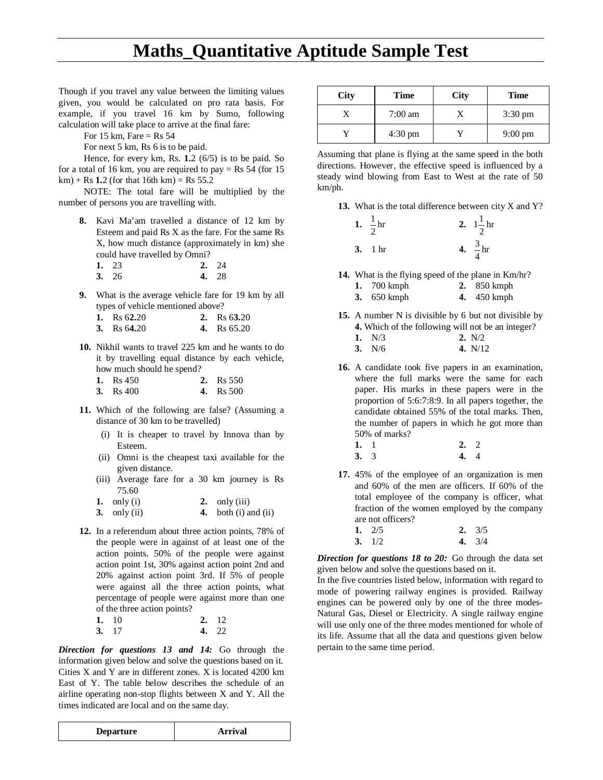Though if you travel any value between the limiting values given, you would be calculated on pro rata basis. For example, if you travel 16 km by Sumo, following calculation will take place to arrive at the final fare:

For 15 km, Fare = Rs  $54$ 

For next 5 km, Rs 6 is to be paid.

Hence, for every km, Rs. **1.**2 (6/5) is to be paid. So for a total of 16 km, you are required to pay = Rs  $54$  (for 15  $km$ ) + Rs 1.2 (for that 16th km) = Rs 55.2

NOTE: The total fare will be multiplied by the number of persons you are travelling with.

**8.** Kavi Ma'am travelled a distance of 12 km by Esteem and paid Rs X as the fare. For the same Rs X, how much distance (approximately in km) she could have travelled by Omni?

| 1. 23 | 2.24  |
|-------|-------|
| 3.26  | 4. 28 |

**9.** What is the average vehicle fare for 19 km by all types of vehicle mentioned above?

| 1. Rs $62.20$ | 2. Rs $63.20$ |
|---------------|---------------|
|               |               |

- **3.** Rs 6**4.**20 **4.** Rs 65.20
- **10.** Nikhil wants to travel 225 km and he wants to do it by travelling equal distance by each vehicle, how much should he spend?

| 1. $\text{Rs } 450$ | 2. $\text{Rs } 550$ |
|---------------------|---------------------|
| 3. $\text{Rs } 400$ | <b>4.</b> Rs 500    |

- **11.** Which of the following are false? (Assuming a distance of 30 km to be travelled)
	- (i) It is cheaper to travel by Innova than by Esteem.
	- (ii) Omni is the cheapest taxi available for the given distance.
	- (iii) Average fare for a 30 km journey is Rs 75.60

| 1. only $(i)$ |  | 2. only $(iii)$ |
|---------------|--|-----------------|
|---------------|--|-----------------|

- **3.** only (ii) **4.** both (i) and (ii)
- **12.** In a referendum about three action points, 78% of the people were in against of at least one of the action points. 50% of the people were against action point 1st, 30% against action point 2nd and 20% against action point 3rd. If 5% of people were against all the three action points, what percentage of people were against more than one of the three action points?

| 1.10 | 2.12  |
|------|-------|
| 3.17 | 4. 22 |

*Direction for questions 13 and 14:* Go through the information given below and solve the questions based on it. Cities X and Y are in different zones. X is located 4200 km East of Y. The table below describes the schedule of an airline operating non-stop flights between X and Y. All the times indicated are local and on the same day.

| <b>Departure</b> | Arrival |
|------------------|---------|
|                  |         |

| <b>City</b> | Time              | <b>City</b> | <b>Time</b>       |
|-------------|-------------------|-------------|-------------------|
|             | $7:00 \text{ am}$ |             | $3:30 \text{ pm}$ |
|             | $4:30 \text{ pm}$ |             | $9:00 \text{ pm}$ |

Assuming that plane is flying at the same speed in the both directions. However, the effective speed is influenced by a steady wind blowing from East to West at the rate of 50 km/ph.

**13.** What is the total difference between city X and Y?

| 1. $\frac{1}{2}$ hr | 2. $1\frac{1}{2}$ hr |
|---------------------|----------------------|
| 3. 1 hr             | 4. $\frac{3}{1}$ hr  |

**14.** What is the flying speed of the plane in Km/hr?

| 700 kmph |  | 850 kmph |
|----------|--|----------|
|----------|--|----------|

| 650 kmph | 450 kmph |  |
|----------|----------|--|
|          |          |  |

- **15.** A number N is divisible by 6 but not divisible by **4.** Which of the following will not be an integer? **1.** N/3 **2.** N/2
	- **3.** N/6 **4.** N/12
- **16.** A candidate took five papers in an examination, where the full marks were the same for each paper. His marks in these papers were in the proportion of 5:6:7:8:9. In all papers together, the candidate obtained 55% of the total marks. Then, the number of papers in which he got more than 50% of marks?
	- **1.** 1 **2.** 2 **3.** 3 **4.** 4
- **17.** 45% of the employee of an organization is men and 60% of the men are officers. If 60% of the total employee of the company is officer, what fraction of the women employed by the company are not officers?

| 1. $2/5$ | 2. $3/5$ |
|----------|----------|
| 3. $1/2$ | 4. $3/4$ |

*Direction for questions 18 to 20:* Go through the data set given below and solve the questions based on it.

In the five countries listed below, information with regard to mode of powering railway engines is provided. Railway engines can be powered only by one of the three modes-Natural Gas, Diesel or Electricity. A single railway engine will use only one of the three modes mentioned for whole of its life. Assume that all the data and questions given below pertain to the same time period.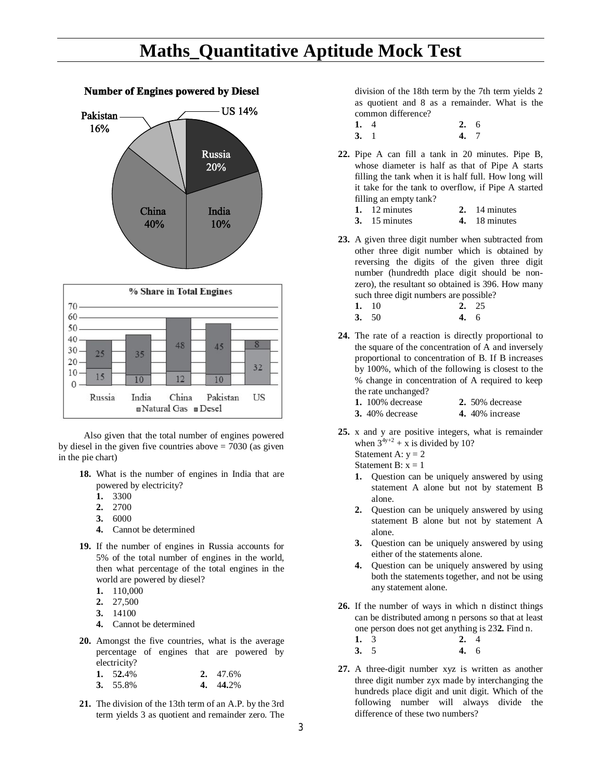### **Maths\_Quantitative Aptitude Mock Test**

#### **Number of Engines powered by Diesel**





Also given that the total number of engines powered by diesel in the given five countries above  $= 7030$  (as given in the pie chart)

- **18.** What is the number of engines in India that are powered by electricity?
	- **1.** 3300
	- **2.** 2700
	- **3.** 6000
	- **4.** Cannot be determined
- **19.** If the number of engines in Russia accounts for 5% of the total number of engines in the world, then what percentage of the total engines in the world are powered by diesel?
	- **1.** 110,000
	- **2.** 27,500
	- **3.** 14100
	- **4.** Cannot be determined
- **20.** Amongst the five countries, what is the average percentage of engines that are powered by electricity?

| 1. $52.4\%$ | 2. $47.6\%$ |
|-------------|-------------|
| 3. $55.8\%$ | 4. 44.2%    |

**21.** The division of the 13th term of an A.P. by the 3rd term yields 3 as quotient and remainder zero. The division of the 18th term by the 7th term yields 2 as quotient and 8 as a remainder. What is the common difference?

- **1.** 4 **2.** 6<br>**3.** 1 **4.** 7 **3.** 1 **4.** 7
- **22.** Pipe A can fill a tank in 20 minutes. Pipe B, whose diameter is half as that of Pipe A starts filling the tank when it is half full. How long will it take for the tank to overflow, if Pipe A started filling an empty tank?
	- **1.** 12 minutes **2.** 14 minutes
	- **3.** 15 minutes **4.** 18 minutes
- **23.** A given three digit number when subtracted from other three digit number which is obtained by reversing the digits of the given three digit number (hundredth place digit should be nonzero), the resultant so obtained is 396. How many such three digit numbers are possible?
	- **1.** 10 **2.** 25 **3.** 50 **4.** 6
- **24.** The rate of a reaction is directly proportional to the square of the concentration of A and inversely proportional to concentration of B. If B increases by 100%, which of the following is closest to the % change in concentration of A required to keep the rate unchanged?
	- **1.** 100% decrease **2.** 50% decrease
	- **3.** 40% decrease **4.** 40% increase
- **25.** x and y are positive integers, what is remainder when  $3^{4y+2}$  + x is divided by 10? Statement A:  $y = 2$

Statement B:  $x = 1$ 

- **1.** Question can be uniquely answered by using statement A alone but not by statement B alone.
- **2.** Question can be uniquely answered by using statement B alone but not by statement A alone.
- **3.** Question can be uniquely answered by using either of the statements alone.
- **4.** Question can be uniquely answered by using both the statements together, and not be using any statement alone.
- **26.** If the number of ways in which n distinct things can be distributed among n persons so that at least one person does not get anything is 23**2.** Find n.
	- **1.** 3 **2.** 4 **3.** 5 **4.** 6
- **27.** A three-digit number xyz is written as another three digit number zyx made by interchanging the hundreds place digit and unit digit. Which of the following number will always divide the difference of these two numbers?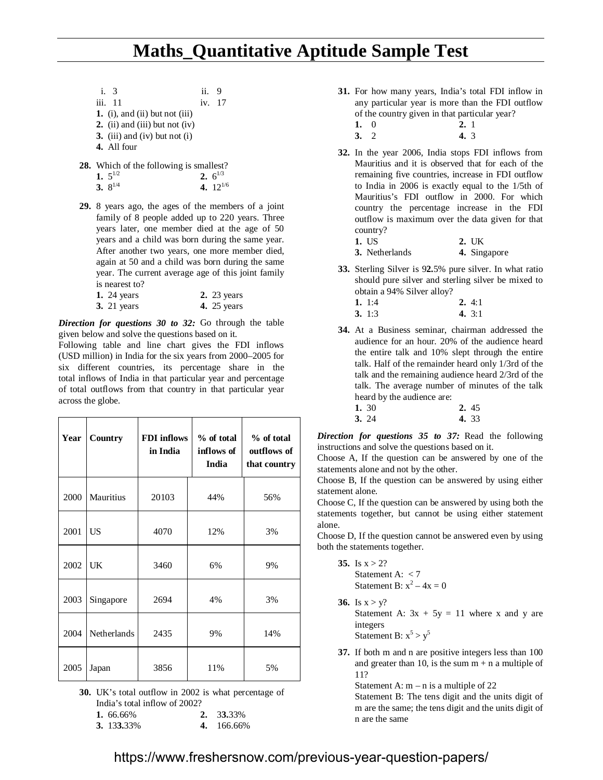i. 3 ii. 9 iii. 11 iv. 17 **1.** (i), and (ii) but not (iii) **2.** (ii) and (iii) but not (iv) **3.** (iii) and (iv) but not (i) **4.** All four

**28.** Which of the following is smallest?

| 1. $5^{1/2}$ | 2. $6^{1/3}$  |
|--------------|---------------|
| 3. $8^{1/4}$ | 4. $12^{1/6}$ |

**29.** 8 years ago, the ages of the members of a joint family of 8 people added up to 220 years. Three years later, one member died at the age of 50 years and a child was born during the same year. After another two years, one more member died, again at 50 and a child was born during the same year. The current average age of this joint family is nearest to?

| 1. 24 years        | <b>2.</b> 23 years |
|--------------------|--------------------|
| <b>3.</b> 21 years | <b>4.</b> 25 years |

*Direction for questions 30 to 32:* Go through the table given below and solve the questions based on it.

Following table and line chart gives the FDI inflows (USD million) in India for the six years from 2000–2005 for six different countries, its percentage share in the total inflows of India in that particular year and percentage of total outflows from that country in that particular year across the globe.

| Year | Country            | <b>FDI</b> inflows<br>in India | $%$ of total<br>inflows of<br>India | % of total<br>outflows of<br>that country |
|------|--------------------|--------------------------------|-------------------------------------|-------------------------------------------|
| 2000 | <b>Mauritius</b>   | 20103                          | 44%                                 | 56%                                       |
| 2001 | US                 | 4070                           | 12%                                 | 3%                                        |
| 2002 | UK                 | 3460                           | 6%                                  | 9%                                        |
| 2003 | Singapore          | 2694                           | 4%                                  | 3%                                        |
| 2004 | <b>Netherlands</b> | 2435                           | 9%                                  | 14%                                       |
| 2005 | Japan              | 3856                           | 11%                                 | 5%                                        |

**30.** UK's total outflow in 2002 is what percentage of India's total inflow of 2002?

| 1. $66.66\%$ | 2. 33.33%  |
|--------------|------------|
| 3. 133.33%   | 4. 166.66% |

- **31.** For how many years, India's total FDI inflow in any particular year is more than the FDI outflow of the country given in that particular year?
	- **1.** 0 **2.** 1
	- **3.** 2 **4.** 3
- **32.** In the year 2006, India stops FDI inflows from Mauritius and it is observed that for each of the remaining five countries, increase in FDI outflow to India in 2006 is exactly equal to the 1/5th of Mauritius's FDI outflow in 2000. For which country the percentage increase in the FDI outflow is maximum over the data given for that country?
	- **1.** US **2.** UK **3.** Netherlands **4.** Singapore
- **33.** Sterling Silver is 9**2.**5% pure silver. In what ratio should pure silver and sterling silver be mixed to obtain a 94% Silver alloy?

| 1. 1:4 | 2.4:1    |
|--------|----------|
| 3.1:3  | 4. $3:1$ |

- **34.** At a Business seminar, chairman addressed the audience for an hour. 20% of the audience heard the entire talk and 10% slept through the entire talk. Half of the remainder heard only 1/3rd of the talk and the remaining audience heard 2/3rd of the talk. The average number of minutes of the talk heard by the audience are:
	- **1.** 30 **2.** 45 **3.** 24 **4.** 33

*Direction for questions 35 to 37:* Read the following instructions and solve the questions based on it.

Choose A, If the question can be answered by one of the statements alone and not by the other.

Choose B, If the question can be answered by using either statement alone.

Choose C, If the question can be answered by using both the statements together, but cannot be using either statement alone.

Choose D, If the question cannot be answered even by using both the statements together.

- 35. Is  $x > 2$ ? Statement A: < 7 Statement B:  $x^2 - 4x = 0$
- **36.** Is  $x > y$ ? Statement A:  $3x + 5y = 11$  where x and y are integers Statement B:  $x^5 > y^5$
- **37.** If both m and n are positive integers less than 100 and greater than 10, is the sum  $m + n$  a multiple of 11?

Statement A:  $m - n$  is a multiple of 22 Statement B: The tens digit and the units digit of m are the same; the tens digit and the units digit of n are the same

#### https://www.freshersnow.com/previous-year-question-papers/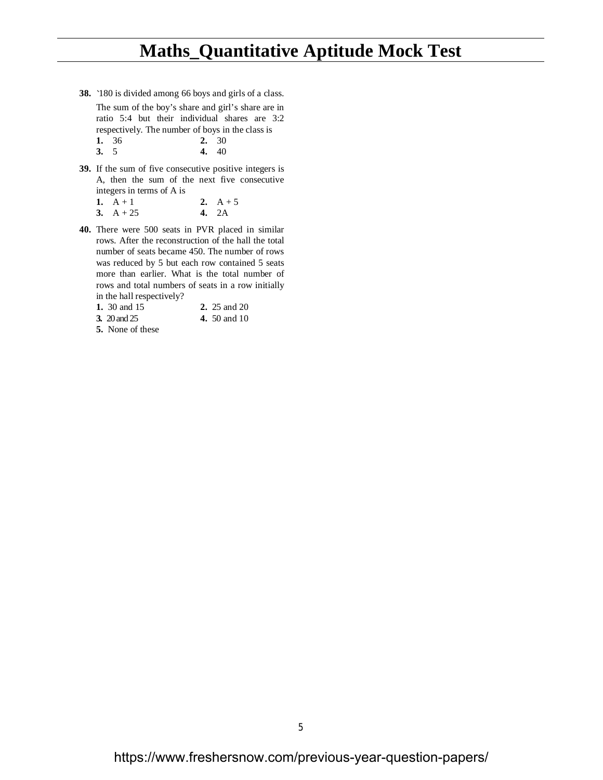### **Maths\_Quantitative Aptitude Mock Test**

**38.** `180 is divided among 66 boys and girls of a class. The sum of the boy's share and girl's share are in ratio 5:4 but their individual shares are 3:2 respectively. The number of boys in the class is **1.** 36 **2.** 30

**3.** 5 **4.** 40

**39.** If the sum of five consecutive positive integers is A, then the sum of the next five consecutive integers in terms of A is<br> $1 - A + 1$ **2.**  $A + 5$ 

| $\mathbf{I} \cdot \mathbf{A} + \mathbf{I}$ | $\mathcal{L}$ . $A$ - |
|--------------------------------------------|-----------------------|
| 3. $A + 25$                                | 4. $2A$               |

- **40.** There were 500 seats in PVR placed in similar rows. After the reconstruction of the hall the total number of seats became 450. The number of rows was reduced by 5 but each row contained 5 seats more than earlier. What is the total number of rows and total numbers of seats in a row initially in the hall respectively?
	- **1.** 30 and 15 **2.** 25 and 20
	- **3.** 20 and 25 **4.** 50 and 10
	- **5.** None of these